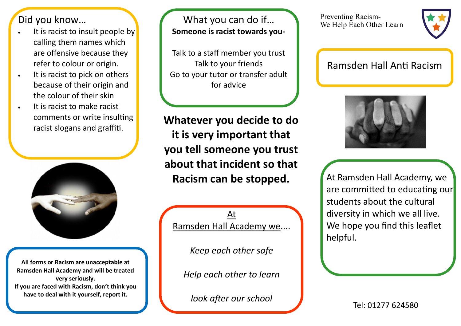Did you know…

- It is racist to insult people by calling them names which are offensive because they refer to colour or origin.
- It is racist to pick on others because of their origin and the colour of their skin
- It is racist to make racist comments or write insulting racist slogans and graffiti.



**All forms or Racism are unacceptable at Ramsden Hall Academy and will be treated very seriously. If you are faced with Racism, don't think you have to deal with it yourself, report it.**

What you can do if… **Someone is racist towards you-**

Talk to a staff member you trust Talk to your friends Go to your tutor or transfer adult for advice

**Whatever you decide to do it is very important that you tell someone you trust about that incident so that Racism can be stopped.**

At Ramsden Hall Academy we....

*Keep each other safe*

*Help each other to learn*

*look after our school*

Preventing Racism-We Help Each Other Learn



## Ramsden Hall Anti Racism



At Ramsden Hall Academy, we are committed to educating our students about the cultural diversity in which we all live. We hope you find this leaflet helpful.

Tel: 01277 624580